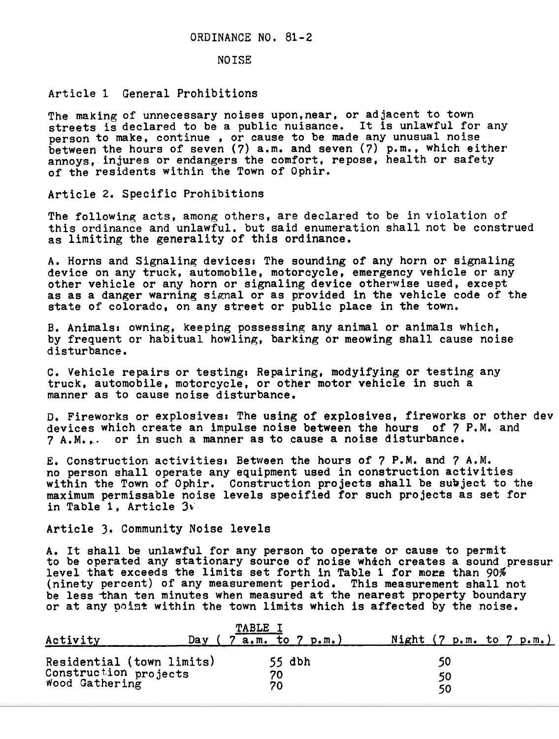## NO ISE

## Article 1 General Prohibitions

The making of unnecessary noises upon,near, or adjacent to town streets is declared to be a public nuisance. It is unlawful for any person to make, continue, or cause to be made any unusual nois between the hours of seven (7) a.m. and seven (7) p.m., which eith annoys, injures or endangers the comfort, repose, health or safe of the residents within the Town of Ophir.

Article 2. Specific Prohibiti

The following acts, among others, are declared to be in violation of this ordinance and unlawful. but said enumeration shall not be construe as limiting the generality of this ordinanc

A. Horns and Signaling devices: The sounding of any horn or signaling device on any truck, automobile, motorcycle, emergency vehicle or any other vehicle or any horn or signaling device otherwise used, except as as a danger warning signal or as provided in the vehicle code of the state of colorado, on any street or public place in the town.

B. Animals: owning, keeping possessing any animal or animals which by frequent or habitual howling, barking or meowing shall cause nois disturbance.

c. Vehicle repairs or testing. Repairing, modyifying or testing any truck, automobile, motorcycle, or other motor vehicle in such a manner as to cause noise disturban

D. Fireworks or explosives: The using of explosives, fireworks or other dev devices which create an impulse noise between the hours of 7 P.M. and 7 A.M... or in such a manner as to cause a noise disturban

E. Construction activitiesl Between the hours of 7 P.M. and 7 A.M. no person shall operate any equipment used in construction activities within the Town of Ophir. Construction projects shall be subject to the maximum permissable noise levels specified for such projects as set for in Table 1, Article 3

Article 3. Community Noise levels

A. It shall be unlawful for any person to operate or cause to permit to be operated any stationary source of noise which creates a sound pressure level that exceeds the limits set forth in Table 1 for more than  $90\%$ (ninety percent) of any measurement period. This measurement shall not be less than ten minutes when measured at the nearest property boundary or at any point within the town limits which is affected by the noise.

| Activity                                                             | Day | <b>TABLE</b><br>$7$ a.m. to $7$ p.m.) | Night $(7 \text{ p.m. to } 7 \text{ p.m.})$ |  |
|----------------------------------------------------------------------|-----|---------------------------------------|---------------------------------------------|--|
| Residential (town limits)<br>Construction projects<br>Wood Gathering |     | $55$ dbh<br>70<br>70                  | 50<br>50<br>50                              |  |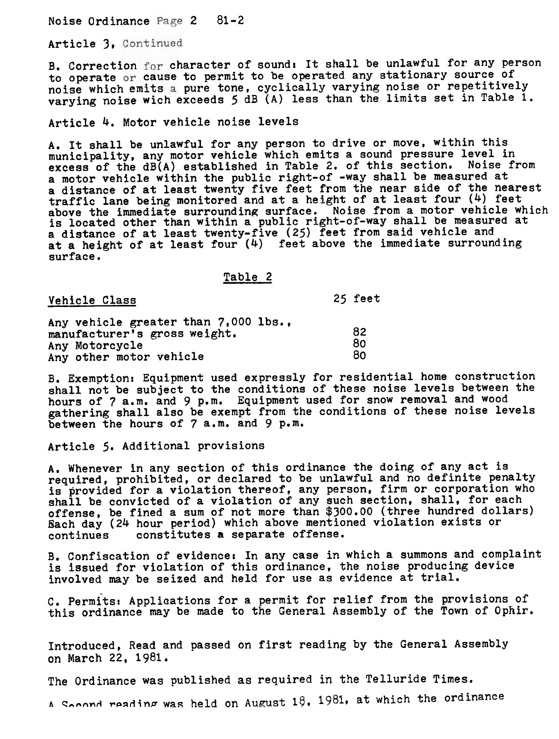Noise Ordinance Page 2 81-2

Article 3. Continued

B. Correction for character of sound: It shall be unlawful for any perso to operate or cause to permit to be operated any stationary source of noise which emits a pure tone, cyclically varying noise or repetiti varying noise wich exceeds 5 dB (A) less than the limits set in Table 1.

Article 4. Motor vehicle noise levels

A. It shall be unlawful for any person to drive or move, within this municipality, any motor vehicle which emits a sound pressure level in excess of the dB(A) established in Table 2. of this section. Noise from a motor vehicle within the public right-of -way shall be measured at a distance of at least twenty five feet from the near side of the nearest traffic lane being monitored and at a height of at least four (4) feet above the immediate surrounding surface. Noise from a motor vehicle which is located other than within a public right-of-way shall be measured at a distance of at least twenty-five (25) feet from said vehicle and at a height of at least four  $(4)$  feet above the immediate surrounding surface.

Table 2

Vehicle Class 25 feet

Any vehicle greater than 7. 000 lbs. , manufacturer's gross weight. 82 Any Motorcycle Any other motor vehicle 80 80

B. Exemption: Equipment used expressly for residential home construct shall not be subject to the conditions of these noise levels between the hours of 7 a.m. and 9 p.m. Equipment used for snow removal and wood gathering shall also be exempt from the conditions of these noise leve between the hours of 7 a.m. and 9 p.m.

Article 5. Additional provisions

A. Whenever in any section of this ordinance the doing of any act is required, prohibited, or declared to be unlawful and no definite penalty is provided for a violation thereof, any person, firm or corporation who shall be convicted of a violation of any such section, shall, for each offense, be fined a sum of not more than \$300.00 (three hundred dollars) Each day (24 hour period) which above mentioned violation exists or continues constitutes a separate offense.

B. Confiscation of evidence. In any case in which a summons and complaint is issued for violation of this ordinance, the noise producing device involved may be seized and held for use as evidence at trial.

- C. Permits: Applications for a permit for relief from the provisions of this ordinance may be made to the General Assembly of the Town of Qphir.

Introduced, Read and passed on first reading by'the General Assembly on March 22,1981.

The Ordinance was published as required in the Telluride Times

 $\alpha$  Socond reading was held on August 18, 1981, at which the ordinar